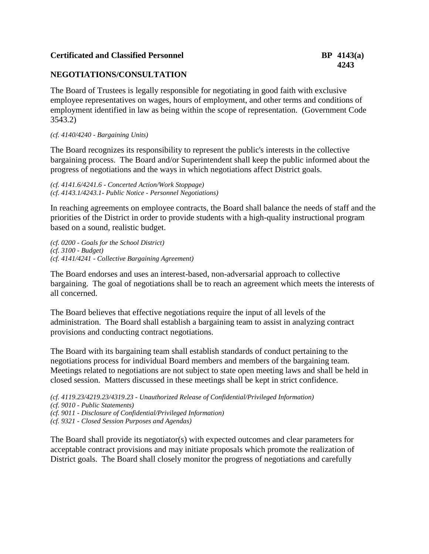# **Certificated and Classified Personnel BP 4143(a)**

# **NEGOTIATIONS/CONSULTATION**

The Board of Trustees is legally responsible for negotiating in good faith with exclusive employee representatives on wages, hours of employment, and other terms and conditions of employment identified in law as being within the scope of representation. (Government Code 3543.2)

#### *(cf. 4140/4240 - Bargaining Units)*

The Board recognizes its responsibility to represent the public's interests in the collective bargaining process. The Board and/or Superintendent shall keep the public informed about the progress of negotiations and the ways in which negotiations affect District goals.

*(cf. 4141.6/4241.6 - Concerted Action/Work Stoppage) (cf. 4143.1/4243.1- Public Notice - Personnel Negotiations)*

In reaching agreements on employee contracts, the Board shall balance the needs of staff and the priorities of the District in order to provide students with a high-quality instructional program based on a sound, realistic budget.

*(cf. 0200 - Goals for the School District) (cf. 3100 - Budget) (cf. 4141/4241 - Collective Bargaining Agreement)*

The Board endorses and uses an interest-based, non-adversarial approach to collective bargaining. The goal of negotiations shall be to reach an agreement which meets the interests of all concerned.

The Board believes that effective negotiations require the input of all levels of the administration. The Board shall establish a bargaining team to assist in analyzing contract provisions and conducting contract negotiations.

The Board with its bargaining team shall establish standards of conduct pertaining to the negotiations process for individual Board members and members of the bargaining team. Meetings related to negotiations are not subject to state open meeting laws and shall be held in closed session. Matters discussed in these meetings shall be kept in strict confidence.

```
(cf. 4119.23/4219.23/4319.23 - Unauthorized Release of Confidential/Privileged Information)
(cf. 9010 - Public Statements)
(cf. 9011 - Disclosure of Confidential/Privileged Information)
(cf. 9321 - Closed Session Purposes and Agendas)
```
The Board shall provide its negotiator(s) with expected outcomes and clear parameters for acceptable contract provisions and may initiate proposals which promote the realization of District goals. The Board shall closely monitor the progress of negotiations and carefully